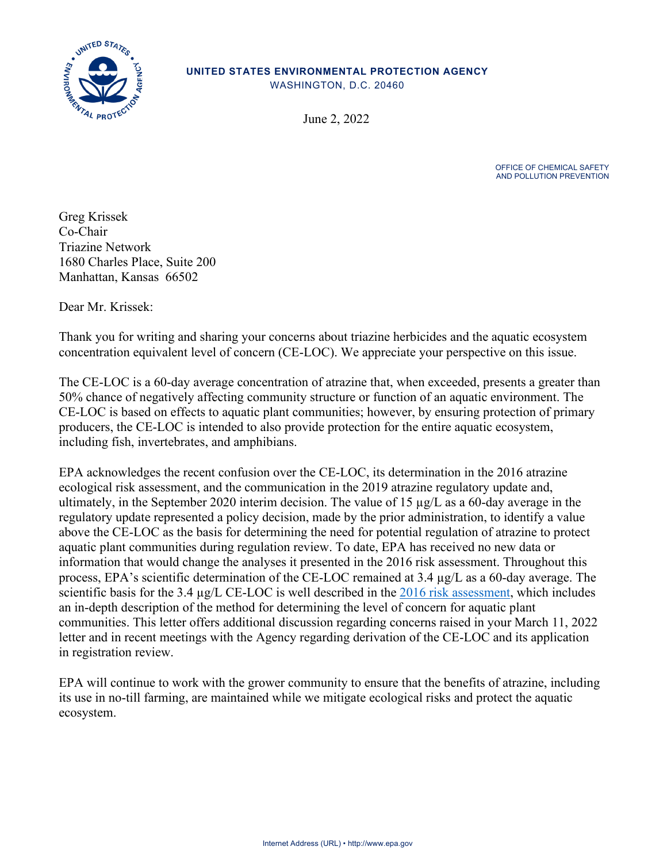

#### **UNITED STATES ENVIRONMENTAL PROTECTION AGENCY**

WASHINGTON, D.C. 20460

June 2, 2022

OFFICE OF CHEMICAL SAFETY AND POLLUTION PREVENTION

Greg Krissek Co-Chair Triazine Network 1680 Charles Place, Suite 200 Manhattan, Kansas 66502

Dear Mr. Krissek:

Thank you for writing and sharing your concerns about triazine herbicides and the aquatic ecosystem concentration equivalent level of concern (CE-LOC). We appreciate your perspective on this issue.

The CE-LOC is a 60-day average concentration of atrazine that, when exceeded, presents a greater than 50% chance of negatively affecting community structure or function of an aquatic environment. The CE-LOC is based on effects to aquatic plant communities; however, by ensuring protection of primary producers, the CE-LOC is intended to also provide protection for the entire aquatic ecosystem, including fish, invertebrates, and amphibians.

EPA acknowledges the recent confusion over the CE-LOC, its determination in the 2016 atrazine ecological risk assessment, and the communication in the 2019 atrazine regulatory update and, ultimately, in the September 2020 interim decision. The value of 15  $\mu$ g/L as a 60-day average in the regulatory update represented a policy decision, made by the prior administration, to identify a value above the CE-LOC as the basis for determining the need for potential regulation of atrazine to protect aquatic plant communities during regulation review. To date, EPA has received no new data or information that would change the analyses it presented in the 2016 risk assessment. Throughout this process, EPA's scientific determination of the CE-LOC remained at 3.4 µg/L as a 60-day average. The scientific basis for the 3.4 µg/L CE-LOC is well described in the [2016 risk assessment,](https://www.regulations.gov/document/EPA-HQ-OPP-2013-0266-0315) which includes an in-depth description of the method for determining the level of concern for aquatic plant communities. This letter offers additional discussion regarding concerns raised in your March 11, 2022 letter and in recent meetings with the Agency regarding derivation of the CE-LOC and its application in registration review.

EPA will continue to work with the grower community to ensure that the benefits of atrazine, including its use in no-till farming, are maintained while we mitigate ecological risks and protect the aquatic ecosystem.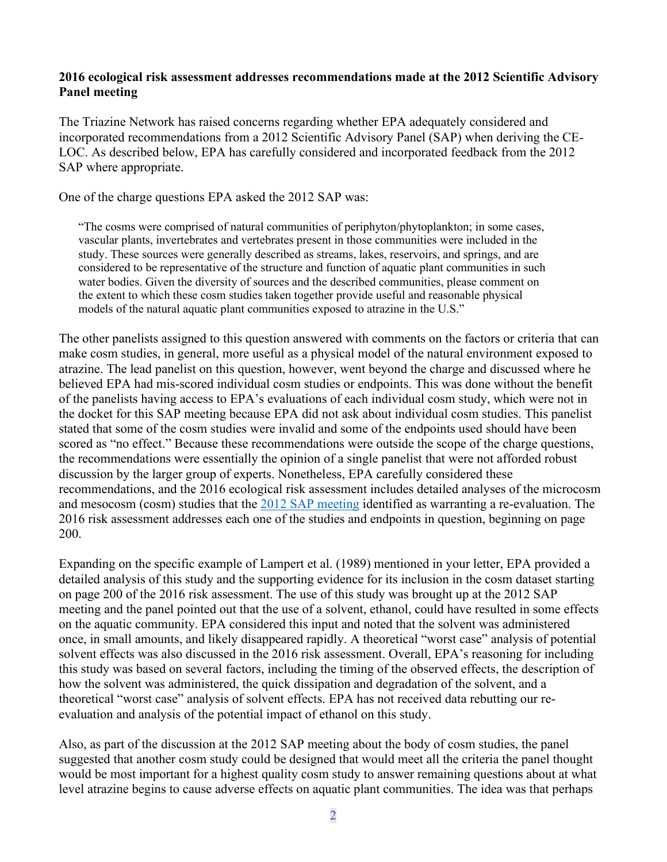#### **2016 ecological risk assessment addresses recommendations made at the 2012 Scientific Advisory Panel meeting**

The Triazine Network has raised concerns regarding whether EPA adequately considered and incorporated recommendations from a 2012 Scientific Advisory Panel (SAP) when deriving the CE-LOC. As described below, EPA has carefully considered and incorporated feedback from the 2012 SAP where appropriate.

One of the charge questions EPA asked the 2012 SAP was:

"The cosms were comprised of natural communities of periphyton/phytoplankton; in some cases, vascular plants, invertebrates and vertebrates present in those communities were included in the study. These sources were generally described as streams, lakes, reservoirs, and springs, and are considered to be representative of the structure and function of aquatic plant communities in such water bodies. Given the diversity of sources and the described communities, please comment on the extent to which these cosm studies taken together provide useful and reasonable physical models of the natural aquatic plant communities exposed to atrazine in the U.S."

The other panelists assigned to this question answered with comments on the factors or criteria that can make cosm studies, in general, more useful as a physical model of the natural environment exposed to atrazine. The lead panelist on this question, however, went beyond the charge and discussed where he believed EPA had mis-scored individual cosm studies or endpoints. This was done without the benefit of the panelists having access to EPA's evaluations of each individual cosm study, which were not in the docket for this SAP meeting because EPA did not ask about individual cosm studies. This panelist stated that some of the cosm studies were invalid and some of the endpoints used should have been scored as "no effect." Because these recommendations were outside the scope of the charge questions, the recommendations were essentially the opinion of a single panelist that were not afforded robust discussion by the larger group of experts. Nonetheless, EPA carefully considered these recommendations, and the 2016 ecological risk assessment includes detailed analyses of the microcosm and mesocosm (cosm) studies that the [2012 SAP](https://www.epa.gov/sites/default/files/2015-06/documents/061212minutes.pdf) meeting identified as warranting a re-evaluation. The 2016 risk assessment addresses each one of the studies and endpoints in question, beginning on page 200.

Expanding on the specific example of Lampert et al. (1989) mentioned in your letter, EPA provided a detailed analysis of this study and the supporting evidence for its inclusion in the cosm dataset starting on page 200 of the 2016 risk assessment. The use of this study was brought up at the 2012 SAP meeting and the panel pointed out that the use of a solvent, ethanol, could have resulted in some effects on the aquatic community. EPA considered this input and noted that the solvent was administered once, in small amounts, and likely disappeared rapidly. A theoretical "worst case" analysis of potential solvent effects was also discussed in the 2016 risk assessment. Overall, EPA's reasoning for including this study was based on several factors, including the timing of the observed effects, the description of how the solvent was administered, the quick dissipation and degradation of the solvent, and a theoretical "worst case" analysis of solvent effects. EPA has not received data rebutting our reevaluation and analysis of the potential impact of ethanol on this study.

Also, as part of the discussion at the 2012 SAP meeting about the body of cosm studies, the panel suggested that another cosm study could be designed that would meet all the criteria the panel thought would be most important for a highest quality cosm study to answer remaining questions about at what level atrazine begins to cause adverse effects on aquatic plant communities. The idea was that perhaps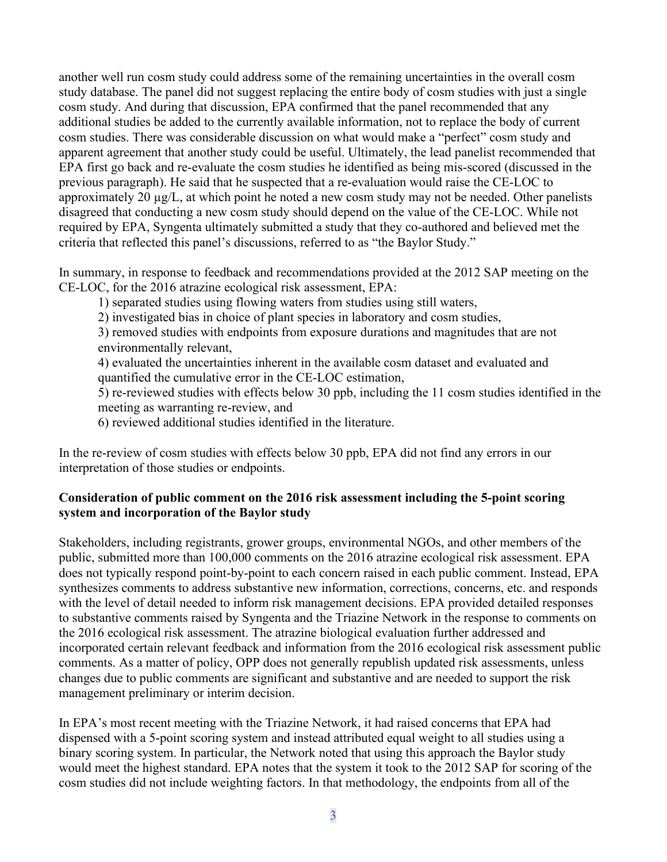another well run cosm study could address some of the remaining uncertainties in the overall cosm study database. The panel did not suggest replacing the entire body of cosm studies with just a single cosm study. And during that discussion, EPA confirmed that the panel recommended that any additional studies be added to the currently available information, not to replace the body of current cosm studies. There was considerable discussion on what would make a "perfect" cosm study and apparent agreement that another study could be useful. Ultimately, the lead panelist recommended that EPA first go back and re-evaluate the cosm studies he identified as being mis-scored (discussed in the previous paragraph). He said that he suspected that a re-evaluation would raise the CE-LOC to approximately 20 µg/L, at which point he noted a new cosm study may not be needed. Other panelists disagreed that conducting a new cosm study should depend on the value of the CE-LOC. While not required by EPA, Syngenta ultimately submitted a study that they co-authored and believed met the criteria that reflected this panel's discussions, referred to as "the Baylor Study."

In summary, in response to feedback and recommendations provided at the 2012 SAP meeting on the CE-LOC, for the 2016 atrazine ecological risk assessment, EPA:

1) separated studies using flowing waters from studies using still waters,

2) investigated bias in choice of plant species in laboratory and cosm studies,

3) removed studies with endpoints from exposure durations and magnitudes that are not environmentally relevant,

4) evaluated the uncertainties inherent in the available cosm dataset and evaluated and quantified the cumulative error in the CE-LOC estimation,

5) re-reviewed studies with effects below 30 ppb, including the 11 cosm studies identified in the meeting as warranting re-review, and

6) reviewed additional studies identified in the literature.

In the re-review of cosm studies with effects below 30 ppb, EPA did not find any errors in our interpretation of those studies or endpoints.

# **Consideration of public comment on the 2016 risk assessment including the 5-point scoring system and incorporation of the Baylor study**

Stakeholders, including registrants, grower groups, environmental NGOs, and other members of the public, submitted more than 100,000 comments on the 2016 atrazine ecological risk assessment. EPA does not typically respond point-by-point to each concern raised in each public comment. Instead, EPA synthesizes comments to address substantive new information, corrections, concerns, etc. and responds with the level of detail needed to inform risk management decisions. EPA provided detailed responses to substantive comments raised by Syngenta and the Triazine Network in the response to comments on the 2016 ecological risk assessment. The atrazine biological evaluation further addressed and incorporated certain relevant feedback and information from the 2016 ecological risk assessment public comments. As a matter of policy, OPP does not generally republish updated risk assessments, unless changes due to public comments are significant and substantive and are needed to support the risk management preliminary or interim decision.

In EPA's most recent meeting with the Triazine Network, it had raised concerns that EPA had dispensed with a 5-point scoring system and instead attributed equal weight to all studies using a binary scoring system. In particular, the Network noted that using this approach the Baylor study would meet the highest standard. EPA notes that the system it took to the 2012 SAP for scoring of the cosm studies did not include weighting factors. In that methodology, the endpoints from all of the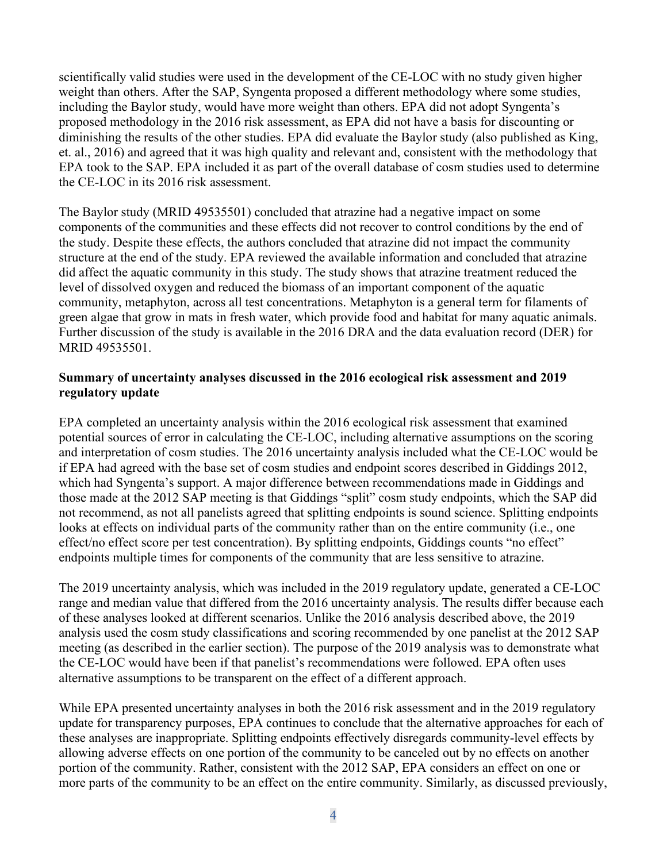scientifically valid studies were used in the development of the CE-LOC with no study given higher weight than others. After the SAP, Syngenta proposed a different methodology where some studies, including the Baylor study, would have more weight than others. EPA did not adopt Syngenta's proposed methodology in the 2016 risk assessment, as EPA did not have a basis for discounting or diminishing the results of the other studies. EPA did evaluate the Baylor study (also published as King, et. al., 2016) and agreed that it was high quality and relevant and, consistent with the methodology that EPA took to the SAP. EPA included it as part of the overall database of cosm studies used to determine the CE-LOC in its 2016 risk assessment.

The Baylor study (MRID 49535501) concluded that atrazine had a negative impact on some components of the communities and these effects did not recover to control conditions by the end of the study. Despite these effects, the authors concluded that atrazine did not impact the community structure at the end of the study. EPA reviewed the available information and concluded that atrazine did affect the aquatic community in this study. The study shows that atrazine treatment reduced the level of dissolved oxygen and reduced the biomass of an important component of the aquatic community, metaphyton, across all test concentrations. Metaphyton is a general term for filaments of green algae that grow in mats in fresh water, which provide food and habitat for many aquatic animals. Further discussion of the study is available in the 2016 DRA and the data evaluation record (DER) for MRID 49535501.

### **Summary of uncertainty analyses discussed in the 2016 ecological risk assessment and 2019 regulatory update**

EPA completed an uncertainty analysis within the 2016 ecological risk assessment that examined potential sources of error in calculating the CE-LOC, including alternative assumptions on the scoring and interpretation of cosm studies. The 2016 uncertainty analysis included what the CE-LOC would be if EPA had agreed with the base set of cosm studies and endpoint scores described in Giddings 2012, which had Syngenta's support. A major difference between recommendations made in Giddings and those made at the 2012 SAP meeting is that Giddings "split" cosm study endpoints, which the SAP did not recommend, as not all panelists agreed that splitting endpoints is sound science. Splitting endpoints looks at effects on individual parts of the community rather than on the entire community (i.e., one effect/no effect score per test concentration). By splitting endpoints, Giddings counts "no effect" endpoints multiple times for components of the community that are less sensitive to atrazine.

The 2019 uncertainty analysis, which was included in the 2019 regulatory update, generated a CE-LOC range and median value that differed from the 2016 uncertainty analysis. The results differ because each of these analyses looked at different scenarios. Unlike the 2016 analysis described above, the 2019 analysis used the cosm study classifications and scoring recommended by one panelist at the 2012 SAP meeting (as described in the earlier section). The purpose of the 2019 analysis was to demonstrate what the CE-LOC would have been if that panelist's recommendations were followed. EPA often uses alternative assumptions to be transparent on the effect of a different approach.

While EPA presented uncertainty analyses in both the 2016 risk assessment and in the 2019 regulatory update for transparency purposes, EPA continues to conclude that the alternative approaches for each of these analyses are inappropriate. Splitting endpoints effectively disregards community-level effects by allowing adverse effects on one portion of the community to be canceled out by no effects on another portion of the community. Rather, consistent with the 2012 SAP, EPA considers an effect on one or more parts of the community to be an effect on the entire community. Similarly, as discussed previously,